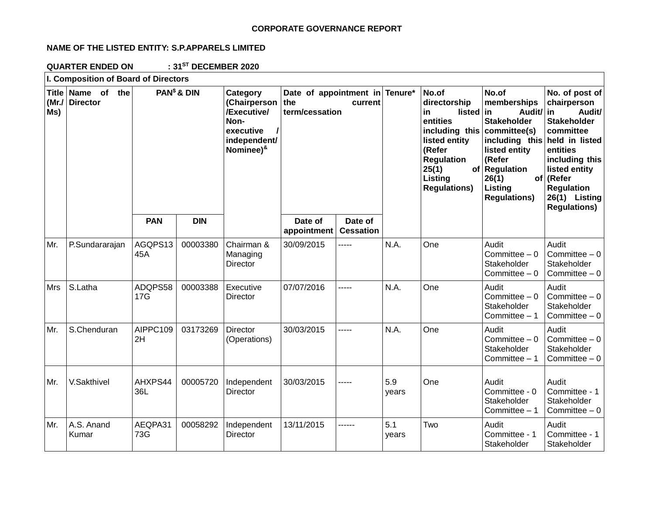## **CORPORATE GOVERNANCE REPORT**

# **NAME OF THE LISTED ENTITY: S.P.APPARELS LIMITED**

**QUARTER ENDED ON : 31ST DECEMBER 2020**

| I. Composition of Board of Directors |                                      |                         |            |                                                                                                           |                                                                    |                             |              |                                                                                                                                                                |                                                                                                                                                                                                       |                                                                                                                                                                                                     |
|--------------------------------------|--------------------------------------|-------------------------|------------|-----------------------------------------------------------------------------------------------------------|--------------------------------------------------------------------|-----------------------------|--------------|----------------------------------------------------------------------------------------------------------------------------------------------------------------|-------------------------------------------------------------------------------------------------------------------------------------------------------------------------------------------------------|-----------------------------------------------------------------------------------------------------------------------------------------------------------------------------------------------------|
| (Mr./<br>Ms)                         | Title Name of the<br><b>Director</b> | PAN <sup>\$</sup> & DIN |            | Category<br>(Chairperson<br>/Executive/<br>Non-<br>executive<br>independent/<br>Nominee) <sup>&amp;</sup> | Date of appointment in Tenure*<br>the<br>current<br>term/cessation |                             |              | No.of<br>directorship<br>in<br>listed<br>entities<br>including this<br>listed entity<br>(Refer<br><b>Regulation</b><br>25(1)<br>Listing<br><b>Regulations)</b> | No.of<br>memberships<br>in<br>Audit/ in<br><b>Stakeholder</b><br>committee(s)<br>including this held in listed<br>listed entity<br>(Refer<br>of Regulation<br>26(1)<br>Listing<br><b>Regulations)</b> | No. of post of<br>chairperson<br>Audit/<br><b>Stakeholder</b><br>committee<br>entities<br>including this<br>listed entity<br>of (Refer<br><b>Regulation</b><br>26(1) Listing<br><b>Regulations)</b> |
|                                      |                                      | <b>PAN</b>              | <b>DIN</b> |                                                                                                           | Date of<br>appointment                                             | Date of<br><b>Cessation</b> |              |                                                                                                                                                                |                                                                                                                                                                                                       |                                                                                                                                                                                                     |
| Mr.                                  | P.Sundararajan                       | AGQPS13<br>45A          | 00003380   | Chairman &<br>Managing<br>Director                                                                        | 30/09/2015                                                         | -----                       | N.A.         | One                                                                                                                                                            | Audit<br>Committee $-0$<br>Stakeholder<br>Committee $-0$                                                                                                                                              | Audit<br>Committee $-0$<br>Stakeholder<br>Committee $-0$                                                                                                                                            |
| Mrs                                  | S.Latha                              | ADQPS58<br>17G          | 00003388   | Executive<br>Director                                                                                     | 07/07/2016                                                         | -----                       | N.A.         | One                                                                                                                                                            | Audit<br>Committee $-0$<br>Stakeholder<br>Committee $-1$                                                                                                                                              | Audit<br>Committee $-0$<br>Stakeholder<br>Committee $-0$                                                                                                                                            |
| Mr.                                  | S.Chenduran                          | AIPPC109<br>2H          | 03173269   | <b>Director</b><br>(Operations)                                                                           | 30/03/2015                                                         | -----                       | N.A.         | One                                                                                                                                                            | Audit<br>Committee $-0$<br>Stakeholder<br>Committee $-1$                                                                                                                                              | Audit<br>Committee $-0$<br>Stakeholder<br>Committee $-0$                                                                                                                                            |
| Mr.                                  | V.Sakthivel                          | AHXPS44<br>36L          | 00005720   | Independent<br>Director                                                                                   | 30/03/2015                                                         | -----                       | 5.9<br>years | One                                                                                                                                                            | Audit<br>Committee - 0<br>Stakeholder<br>Committee $-1$                                                                                                                                               | Audit<br>Committee - 1<br>Stakeholder<br>Committee $-0$                                                                                                                                             |
| Mr.                                  | A.S. Anand<br>Kumar                  | AEQPA31<br>73G          | 00058292   | Independent<br>Director                                                                                   | 13/11/2015                                                         |                             | 5.1<br>years | Two                                                                                                                                                            | Audit<br>Committee - 1<br>Stakeholder                                                                                                                                                                 | Audit<br>Committee - 1<br>Stakeholder                                                                                                                                                               |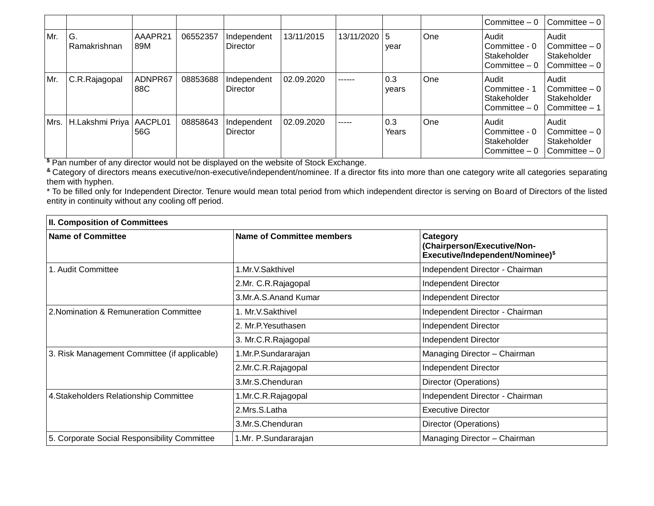|     |                        |                |          |                                |            |              |              |     | Committee $-0$                                          | Committee - 0                                            |
|-----|------------------------|----------------|----------|--------------------------------|------------|--------------|--------------|-----|---------------------------------------------------------|----------------------------------------------------------|
| Mr. | G.<br>Ramakrishnan     | AAAPR21<br>89M | 06552357 | Independent<br><b>Director</b> | 13/11/2015 | 13/11/2020 5 | year         | One | Audit<br>Committee - 0<br>Stakeholder<br>Committee $-0$ | Audit<br>Committee $-0$<br>Stakeholder<br>Committee - 0  |
| Mr. | C.R.Rajagopal          | ADNPR67<br>88C | 08853688 | Independent<br>Director        | 02.09.2020 | ------       | 0.3<br>years | One | Audit<br>Committee - 1<br>Stakeholder<br>Committee $-0$ | Audit<br>Committee - 0<br>Stakeholder<br>Committee - 1   |
|     | Mrs.   H.Lakshmi Priya | AACPL01<br>56G | 08858643 | Independent<br>Director        | 02.09.2020 | -----        | 0.3<br>Years | One | Audit<br>Committee - 0<br>Stakeholder<br>Committee $-0$ | Audit<br>Committee - 0<br>Stakeholder<br>  Committee – 0 |

**\$** Pan number of any director would not be displayed on the website of Stock Exchange.

**&** Category of directors means executive/non-executive/independent/nominee. If a director fits into more than one category write all categories separating them with hyphen.

\* To be filled only for Independent Director. Tenure would mean total period from which independent director is serving on Board of Directors of the listed entity in continuity without any cooling off period.

| <b>II. Composition of Committees</b>         |                           |                                                                                         |  |  |  |
|----------------------------------------------|---------------------------|-----------------------------------------------------------------------------------------|--|--|--|
| <b>Name of Committee</b>                     | Name of Committee members | Category<br>(Chairperson/Executive/Non-<br>Executive/Independent/Nominee) <sup>\$</sup> |  |  |  |
| 1. Audit Committee                           | .Mr.V.Sakthivel           | Independent Director - Chairman                                                         |  |  |  |
|                                              | 2.Mr. C.R.Rajagopal       | Independent Director                                                                    |  |  |  |
|                                              | 3.Mr.A.S.Anand Kumar      | Independent Director                                                                    |  |  |  |
| 2. Nomination & Remuneration Committee       | I. Mr.V.Sakthivel         | Independent Director - Chairman                                                         |  |  |  |
|                                              | 2. Mr.P. Yesuthasen       | Independent Director                                                                    |  |  |  |
|                                              | 3. Mr.C.R.Rajagopal       | Independent Director                                                                    |  |  |  |
| 3. Risk Management Committee (if applicable) | I.Mr.P.Sundararajan       | Managing Director - Chairman                                                            |  |  |  |
|                                              | 2.Mr.C.R.Rajagopal        | Independent Director                                                                    |  |  |  |
|                                              | 3.Mr.S.Chenduran          | Director (Operations)                                                                   |  |  |  |
| 4. Stakeholders Relationship Committee       | 1.Mr.C.R.Rajagopal        | Independent Director - Chairman                                                         |  |  |  |
|                                              | 2.Mrs.S.Latha             | <b>Executive Director</b>                                                               |  |  |  |
|                                              | 3.Mr.S.Chenduran          | Director (Operations)                                                                   |  |  |  |
| 5. Corporate Social Responsibility Committee | 1.Mr. P.Sundararajan      | Managing Director - Chairman                                                            |  |  |  |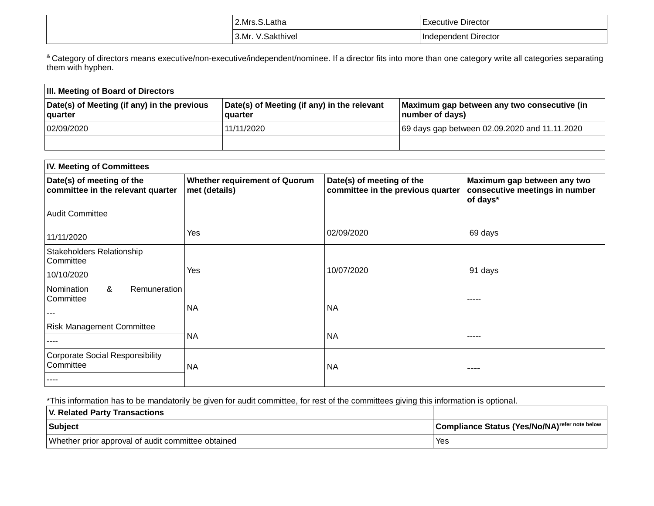| .Mrs<br>atha         | Director<br>-xecutive   |  |
|----------------------|-------------------------|--|
| 3.Mr.<br>akthıvel. . | dependent Director<br>. |  |

<sup>&</sup> Category of directors means executive/non-executive/independent/nominee. If a director fits into more than one category write all categories separating them with hyphen.

| <b>III. Meeting of Board of Directors</b>              |                                                        |                                                                |  |  |  |  |
|--------------------------------------------------------|--------------------------------------------------------|----------------------------------------------------------------|--|--|--|--|
| Date(s) of Meeting (if any) in the previous<br>quarter | Date(s) of Meeting (if any) in the relevant<br>quarter | Maximum gap between any two consecutive (in<br>number of days) |  |  |  |  |
| 02/09/2020                                             | 11/11/2020                                             | 69 days gap between 02.09.2020 and 11.11.2020                  |  |  |  |  |
|                                                        |                                                        |                                                                |  |  |  |  |

| <b>IV. Meeting of Committees</b>                               |                                                       |                                                                |                                                                           |  |  |  |  |
|----------------------------------------------------------------|-------------------------------------------------------|----------------------------------------------------------------|---------------------------------------------------------------------------|--|--|--|--|
| Date(s) of meeting of the<br>committee in the relevant quarter | <b>Whether requirement of Quorum</b><br>met (details) | Date(s) of meeting of the<br>committee in the previous quarter | Maximum gap between any two<br>consecutive meetings in number<br>of days* |  |  |  |  |
| <b>Audit Committee</b>                                         |                                                       |                                                                |                                                                           |  |  |  |  |
| 11/11/2020                                                     | Yes                                                   | 02/09/2020                                                     | 69 days                                                                   |  |  |  |  |
| Stakeholders Relationship<br>Committee                         |                                                       |                                                                |                                                                           |  |  |  |  |
| 10/10/2020                                                     | Yes                                                   | 10/07/2020                                                     | 91 days                                                                   |  |  |  |  |
| &<br>Remuneration<br>Nomination<br>Committee                   |                                                       |                                                                | -----                                                                     |  |  |  |  |
|                                                                | <b>NA</b>                                             | <b>NA</b>                                                      |                                                                           |  |  |  |  |
| <b>Risk Management Committee</b>                               |                                                       |                                                                |                                                                           |  |  |  |  |
|                                                                | <b>NA</b>                                             | <b>NA</b>                                                      | -----                                                                     |  |  |  |  |
| <b>Corporate Social Responsibility</b><br>Committee            | <b>NA</b>                                             | <b>NA</b>                                                      | ----                                                                      |  |  |  |  |
|                                                                |                                                       |                                                                |                                                                           |  |  |  |  |

\*This information has to be mandatorily be given for audit committee, for rest of the committees giving this information is optional.

| <b>V. Related Party Transactions</b>               |                                                           |
|----------------------------------------------------|-----------------------------------------------------------|
| Subject                                            | Compliance Status (Yes/No/NA) <sup>refer note below</sup> |
| Whether prior approval of audit committee obtained | Yes                                                       |